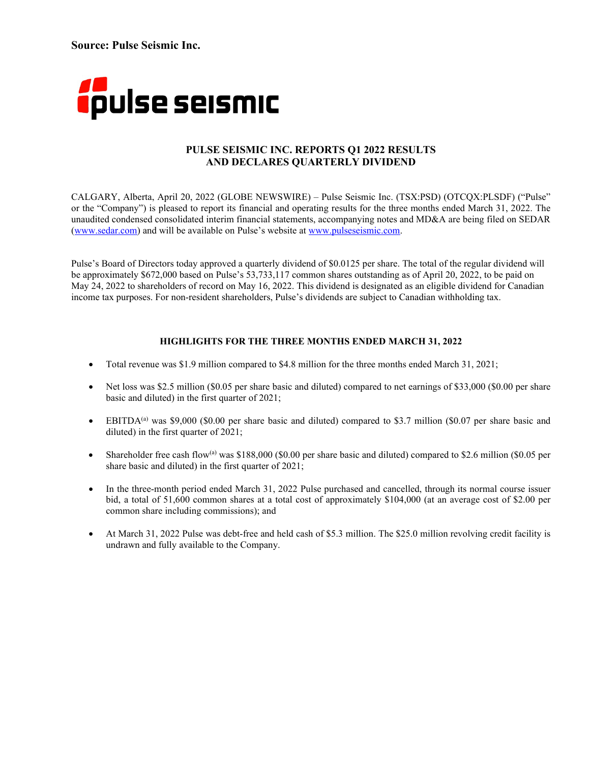**Source: Pulse Seismic Inc.**



### **PULSE SEISMIC INC. REPORTS Q1 2022 RESULTS AND DECLARES QUARTERLY DIVIDEND**

CALGARY, Alberta, April 20, 2022 (GLOBE NEWSWIRE) – Pulse Seismic Inc. (TSX:PSD) (OTCQX:PLSDF) ("Pulse" or the "Company") is pleased to report its financial and operating results for the three months ended March 31, 2022. The unaudited condensed consolidated interim financial statements, accompanying notes and MD&A are being filed on SEDAR [\(www.sedar.com\)](http://www.sedar.com/) and will be available on Pulse's website at [www.pulseseismic.com.](http://www.pulseseismic.com/) 

Pulse's Board of Directors today approved a quarterly dividend of \$0.0125 per share. The total of the regular dividend will be approximately \$672,000 based on Pulse's 53,733,117 common shares outstanding as of April 20, 2022, to be paid on May 24, 2022 to shareholders of record on May 16, 2022. This dividend is designated as an eligible dividend for Canadian income tax purposes. For non-resident shareholders, Pulse's dividends are subject to Canadian withholding tax.

### **HIGHLIGHTS FOR THE THREE MONTHS ENDED MARCH 31, 2022**

- Total revenue was \$1.9 million compared to \$4.8 million for the three months ended March 31, 2021;
- Net loss was \$2.5 million (\$0.05 per share basic and diluted) compared to net earnings of \$33,000 (\$0.00 per share basic and diluted) in the first quarter of 2021;
- EBITDA<sup>(a)</sup> was \$9,000 (\$0.00 per share basic and diluted) compared to \$3.7 million (\$0.07 per share basic and diluted) in the first quarter of 2021;
- Shareholder free cash flow(a) was \$188,000 (\$0.00 per share basic and diluted) compared to \$2.6 million (\$0.05 per share basic and diluted) in the first quarter of 2021;
- In the three-month period ended March 31, 2022 Pulse purchased and cancelled, through its normal course issuer bid, a total of 51,600 common shares at a total cost of approximately \$104,000 (at an average cost of \$2.00 per common share including commissions); and
- At March 31, 2022 Pulse was debt-free and held cash of \$5.3 million. The \$25.0 million revolving credit facility is undrawn and fully available to the Company.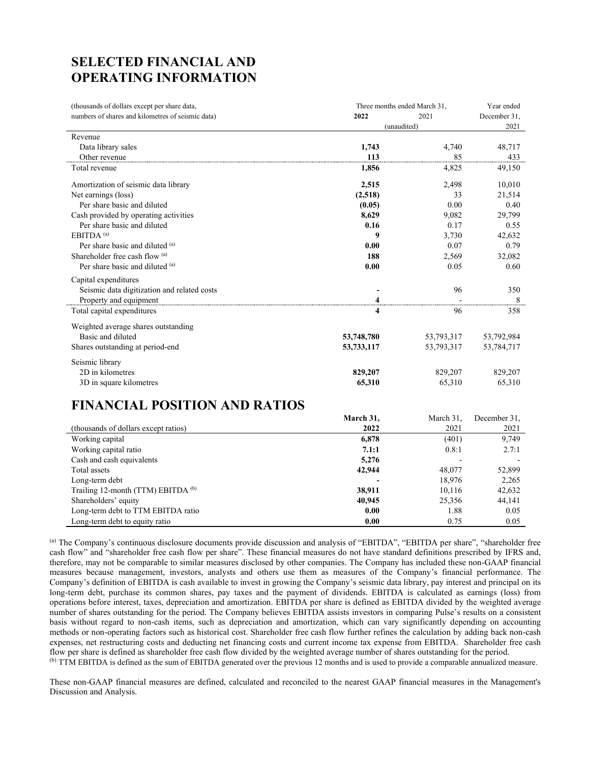# **SELECTED FINANCIAL AND OPERATING INFORMATION**

| (thousands of dollars except per share data,      | Three months ended March 31, |            | Year ended   |
|---------------------------------------------------|------------------------------|------------|--------------|
| numbers of shares and kilometres of seismic data) | 2022                         | 2021       | December 31, |
|                                                   | (unaudited)                  |            | 2021         |
| Revenue                                           |                              |            |              |
| Data library sales                                | 1,743                        | 4,740      | 48,717       |
| Other revenue                                     | 113                          | 85         | 433          |
| Total revenue                                     | 1,856                        | 4,825      | 49,150       |
| Amortization of seismic data library              | 2,515                        | 2,498      | 10,010       |
| Net earnings (loss)                               | (2,518)                      | 33         | 21,514       |
| Per share basic and diluted                       | (0.05)                       | 0.00       | 0.40         |
| Cash provided by operating activities             | 8,629                        | 9,082      | 29,799       |
| Per share basic and diluted                       | 0.16                         | 0.17       | 0.55         |
| $EBITDA$ <sup>(a)</sup>                           | 9                            | 3.730      | 42,632       |
| Per share basic and diluted (a)                   | 0.00                         | 0.07       | 0.79         |
| Shareholder free cash flow (a)                    | 188                          | 2,569      | 32,082       |
| Per share basic and diluted (a)                   | 0.00                         | 0.05       | 0.60         |
| Capital expenditures                              |                              |            |              |
| Seismic data digitization and related costs       |                              | 96         | 350          |
| Property and equipment                            |                              |            | 8            |
| Total capital expenditures                        | 4                            | 96         | 358          |
| Weighted average shares outstanding               |                              |            |              |
| Basic and diluted                                 | 53,748,780                   | 53,793,317 | 53,792,984   |
| Shares outstanding at period-end                  | 53,733,117                   | 53,793,317 | 53,784,717   |
| Seismic library                                   |                              |            |              |
| 2D in kilometres                                  | 829,207                      | 829,207    | 829,207      |
| 3D in square kilometres                           | 65,310                       | 65,310     | 65,310       |

# **FINANCIAL POSITION AND RATIOS**

|                                      | March 31, | March 31, | December 31, |
|--------------------------------------|-----------|-----------|--------------|
| (thousands of dollars except ratios) | 2022      | 2021      | 2021         |
| Working capital                      | 6,878     | (401)     | 9,749        |
| Working capital ratio                | 7.1:1     | 0.8:1     | 2.7:1        |
| Cash and cash equivalents            | 5,276     |           |              |
| Total assets                         | 42,944    | 48,077    | 52,899       |
| Long-term debt                       |           | 18,976    | 2,265        |
| Trailing 12-month (TTM) EBITDA (b)   | 38,911    | 10.116    | 42,632       |
| Shareholders' equity                 | 40,945    | 25,356    | 44,141       |
| Long-term debt to TTM EBITDA ratio   | 0.00      | 1.88      | 0.05         |
| Long-term debt to equity ratio       | 0.00      | 0.75      | 0.05         |

(a) The Company's continuous disclosure documents provide discussion and analysis of "EBITDA", "EBITDA per share", "shareholder free cash flow" and "shareholder free cash flow per share". These financial measures do not have standard definitions prescribed by IFRS and, therefore, may not be comparable to similar measures disclosed by other companies. The Company has included these non-GAAP financial measures because management, investors, analysts and others use them as measures of the Company's financial performance. The Company's definition of EBITDA is cash available to invest in growing the Company's seismic data library, pay interest and principal on its long-term debt, purchase its common shares, pay taxes and the payment of dividends. EBITDA is calculated as earnings (loss) from operations before interest, taxes, depreciation and amortization. EBITDA per share is defined as EBITDA divided by the weighted average number of shares outstanding for the period. The Company believes EBITDA assists investors in comparing Pulse's results on a consistent basis without regard to non-cash items, such as depreciation and amortization, which can vary significantly depending on accounting methods or non-operating factors such as historical cost. Shareholder free cash flow further refines the calculation by adding back non-cash expenses, net restructuring costs and deducting net financing costs and current income tax expense from EBITDA. Shareholder free cash flow per share is defined as shareholder free cash flow divided by the weighted average number of shares outstanding for the period. (b) TTM EBITDA is defined as the sum of EBITDA generated over the previous 12 months and is used to provide a comparable annualized measure.

These non-GAAP financial measures are defined, calculated and reconciled to the nearest GAAP financial measures in the Management's Discussion and Analysis.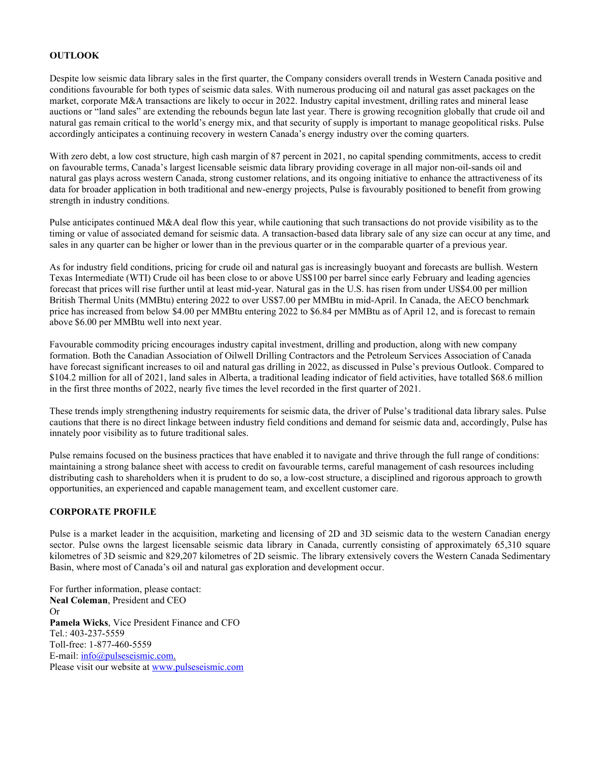### **OUTLOOK**

Despite low seismic data library sales in the first quarter, the Company considers overall trends in Western Canada positive and conditions favourable for both types of seismic data sales. With numerous producing oil and natural gas asset packages on the market, corporate M&A transactions are likely to occur in 2022. Industry capital investment, drilling rates and mineral lease auctions or "land sales" are extending the rebounds begun late last year. There is growing recognition globally that crude oil and natural gas remain critical to the world's energy mix, and that security of supply is important to manage geopolitical risks. Pulse accordingly anticipates a continuing recovery in western Canada's energy industry over the coming quarters.

With zero debt, a low cost structure, high cash margin of 87 percent in 2021, no capital spending commitments, access to credit on favourable terms, Canada's largest licensable seismic data library providing coverage in all major non-oil-sands oil and natural gas plays across western Canada, strong customer relations, and its ongoing initiative to enhance the attractiveness of its data for broader application in both traditional and new-energy projects, Pulse is favourably positioned to benefit from growing strength in industry conditions.

Pulse anticipates continued M&A deal flow this year, while cautioning that such transactions do not provide visibility as to the timing or value of associated demand for seismic data. A transaction-based data library sale of any size can occur at any time, and sales in any quarter can be higher or lower than in the previous quarter or in the comparable quarter of a previous year.

As for industry field conditions, pricing for crude oil and natural gas is increasingly buoyant and forecasts are bullish. Western Texas Intermediate (WTI) Crude oil has been close to or above US\$100 per barrel since early February and leading agencies forecast that prices will rise further until at least mid-year. Natural gas in the U.S. has risen from under US\$4.00 per million British Thermal Units (MMBtu) entering 2022 to over US\$7.00 per MMBtu in mid-April. In Canada, the AECO benchmark price has increased from below \$4.00 per MMBtu entering 2022 to \$6.84 per MMBtu as of April 12, and is forecast to remain above \$6.00 per MMBtu well into next year.

Favourable commodity pricing encourages industry capital investment, drilling and production, along with new company formation. Both the Canadian Association of Oilwell Drilling Contractors and the Petroleum Services Association of Canada have forecast significant increases to oil and natural gas drilling in 2022, as discussed in Pulse's previous Outlook. Compared to \$104.2 million for all of 2021, land sales in Alberta, a traditional leading indicator of field activities, have totalled \$68.6 million in the first three months of 2022, nearly five times the level recorded in the first quarter of 2021.

These trends imply strengthening industry requirements for seismic data, the driver of Pulse's traditional data library sales. Pulse cautions that there is no direct linkage between industry field conditions and demand for seismic data and, accordingly, Pulse has innately poor visibility as to future traditional sales.

Pulse remains focused on the business practices that have enabled it to navigate and thrive through the full range of conditions: maintaining a strong balance sheet with access to credit on favourable terms, careful management of cash resources including distributing cash to shareholders when it is prudent to do so, a low-cost structure, a disciplined and rigorous approach to growth opportunities, an experienced and capable management team, and excellent customer care.

### **CORPORATE PROFILE**

Pulse is a market leader in the acquisition, marketing and licensing of 2D and 3D seismic data to the western Canadian energy sector. Pulse owns the largest licensable seismic data library in Canada, currently consisting of approximately 65,310 square kilometres of 3D seismic and 829,207 kilometres of 2D seismic. The library extensively covers the Western Canada Sedimentary Basin, where most of Canada's oil and natural gas exploration and development occur.

For further information, please contact: **Neal Coleman**, President and CEO Or **Pamela Wicks**, Vice President Finance and CFO Tel.: 403-237-5559 Toll-free: 1-877-460-5559 E-mail: [info@pulseseismic.com.](mailto:info@pulseseismic.com) Please visit our website at [www.pulseseismic.com](http://www.pulseseismic.com/)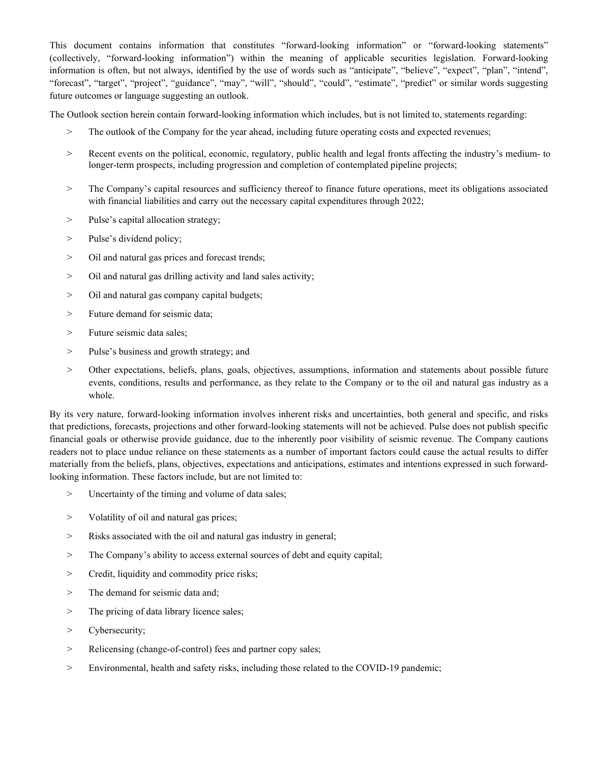This document contains information that constitutes "forward-looking information" or "forward-looking statements" (collectively, "forward-looking information") within the meaning of applicable securities legislation. Forward-looking information is often, but not always, identified by the use of words such as "anticipate", "believe", "expect", "plan", "intend", "forecast", "target", "project", "guidance", "may", "will", "should", "could", "estimate", "predict" or similar words suggesting future outcomes or language suggesting an outlook.

The Outlook section herein contain forward-looking information which includes, but is not limited to, statements regarding:

- > The outlook of the Company for the year ahead, including future operating costs and expected revenues;
- > Recent events on the political, economic, regulatory, public health and legal fronts affecting the industry's medium- to longer-term prospects, including progression and completion of contemplated pipeline projects;
- > The Company's capital resources and sufficiency thereof to finance future operations, meet its obligations associated with financial liabilities and carry out the necessary capital expenditures through 2022;
- > Pulse's capital allocation strategy;
- > Pulse's dividend policy;
- > Oil and natural gas prices and forecast trends;
- > Oil and natural gas drilling activity and land sales activity;
- > Oil and natural gas company capital budgets;
- > Future demand for seismic data;
- > Future seismic data sales;
- > Pulse's business and growth strategy; and
- > Other expectations, beliefs, plans, goals, objectives, assumptions, information and statements about possible future events, conditions, results and performance, as they relate to the Company or to the oil and natural gas industry as a whole.

By its very nature, forward-looking information involves inherent risks and uncertainties, both general and specific, and risks that predictions, forecasts, projections and other forward-looking statements will not be achieved. Pulse does not publish specific financial goals or otherwise provide guidance, due to the inherently poor visibility of seismic revenue. The Company cautions readers not to place undue reliance on these statements as a number of important factors could cause the actual results to differ materially from the beliefs, plans, objectives, expectations and anticipations, estimates and intentions expressed in such forwardlooking information. These factors include, but are not limited to:

- > Uncertainty of the timing and volume of data sales;
- > Volatility of oil and natural gas prices;
- > Risks associated with the oil and natural gas industry in general;
- > The Company's ability to access external sources of debt and equity capital;
- > Credit, liquidity and commodity price risks;
- > The demand for seismic data and;
- > The pricing of data library licence sales;
- > Cybersecurity;
- > Relicensing (change-of-control) fees and partner copy sales;
- > Environmental, health and safety risks, including those related to the COVID-19 pandemic;